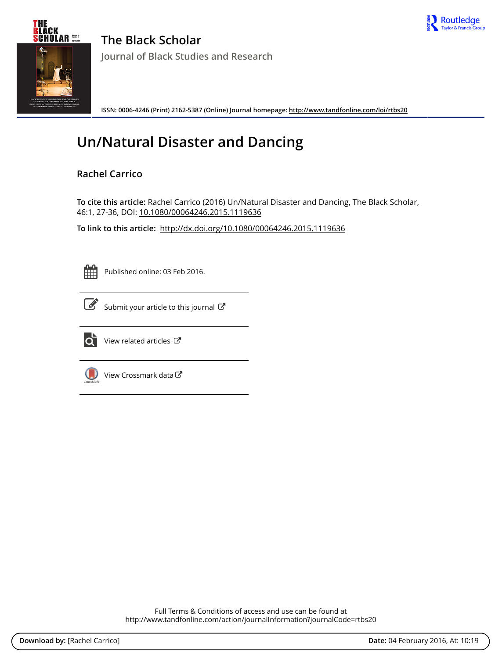



**The Black Scholar Journal of Black Studies and Research**

**ISSN: 0006-4246 (Print) 2162-5387 (Online) Journal homepage:<http://www.tandfonline.com/loi/rtbs20>**

# **Un/Natural Disaster and Dancing**

# **Rachel Carrico**

**To cite this article:** Rachel Carrico (2016) Un/Natural Disaster and Dancing, The Black Scholar, 46:1, 27-36, DOI: [10.1080/00064246.2015.1119636](http://www.tandfonline.com/action/showCitFormats?doi=10.1080/00064246.2015.1119636)

**To link to this article:** <http://dx.doi.org/10.1080/00064246.2015.1119636>



Published online: 03 Feb 2016.



 $\overline{\mathscr{L}}$  [Submit your article to this journal](http://www.tandfonline.com/action/authorSubmission?journalCode=rtbs20&page=instructions)  $\mathbb{Z}$ 



 $\overrightarrow{Q}$  [View related articles](http://www.tandfonline.com/doi/mlt/10.1080/00064246.2015.1119636)  $\overrightarrow{C}$ 



[View Crossmark data](http://crossmark.crossref.org/dialog/?doi=10.1080/00064246.2015.1119636&domain=pdf&date_stamp=2016-02-03)

Full Terms & Conditions of access and use can be found at <http://www.tandfonline.com/action/journalInformation?journalCode=rtbs20>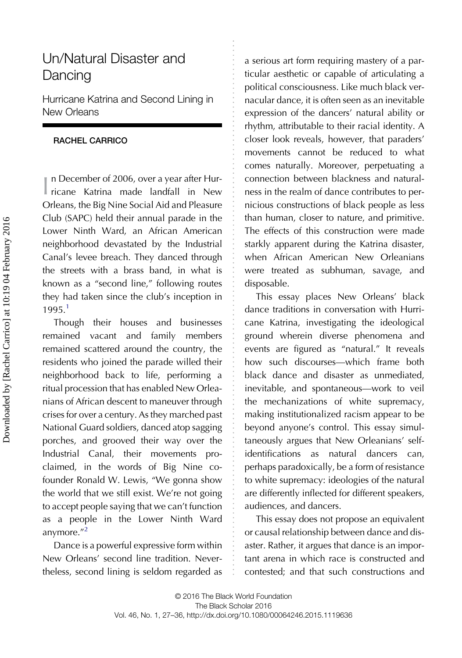# Un/Natural Disaster and Dancing

Hurricane Katrina and Second Lining in New Orleans

#### RACHEL CARRICO

In December of 2006, over a year after Hur-<br>Fricane Katrina made landfall in New n December of 2006, over a year after Hur-Orleans, the Big Nine Social Aid and Pleasure Club (SAPC) held their annual parade in the Lower Ninth Ward, an African American neighborhood devastated by the Industrial Canal's levee breach. They danced through the streets with a brass band, in what is known as a "second line," following routes they had taken since the club's inception in 1995.[1](#page-9-0)

Though their houses and businesses remained vacant and family members remained scattered around the country, the residents who joined the parade willed their neighborhood back to life, performing a ritual procession that has enabled New Orleanians of African descent to maneuver through crises for over a century. As they marched past National Guard soldiers, danced atop sagging porches, and grooved their way over the Industrial Canal, their movements proclaimed, in the words of Big Nine cofounder Ronald W. Lewis, "We gonna show the world that we still exist. We're not going to accept people saying that we can't function as a people in the Lower Ninth Ward anymore."<sup>[2](#page-9-0)</sup>

Dance is a powerful expressive form within New Orleans' second line tradition. Nevertheless, second lining is seldom regarded as

a serious art form requiring mastery of a particular aesthetic or capable of articulating a political consciousness. Like much black vernacular dance, it is often seen as an inevitable expression of the dancers' natural ability or rhythm, attributable to their racial identity. A closer look reveals, however, that paraders' movements cannot be reduced to what comes naturally. Moreover, perpetuating a connection between blackness and naturalness in the realm of dance contributes to pernicious constructions of black people as less than human, closer to nature, and primitive. The effects of this construction were made starkly apparent during the Katrina disaster, when African American New Orleanians were treated as subhuman, savage, and disposable.

This essay places New Orleans' black dance traditions in conversation with Hurricane Katrina, investigating the ideological ground wherein diverse phenomena and events are figured as "natural." It reveals how such discourses—which frame both black dance and disaster as unmediated, inevitable, and spontaneous—work to veil the mechanizations of white supremacy, making institutionalized racism appear to be beyond anyone's control. This essay simultaneously argues that New Orleanians' selfidentifications as natural dancers can, perhaps paradoxically, be a form of resistance to white supremacy: ideologies of the natural are differently inflected for different speakers, audiences, and dancers.

This essay does not propose an equivalent or causal relationship between dance and disaster. Rather, it argues that dance is an important arena in which race is constructed and contested; and that such constructions and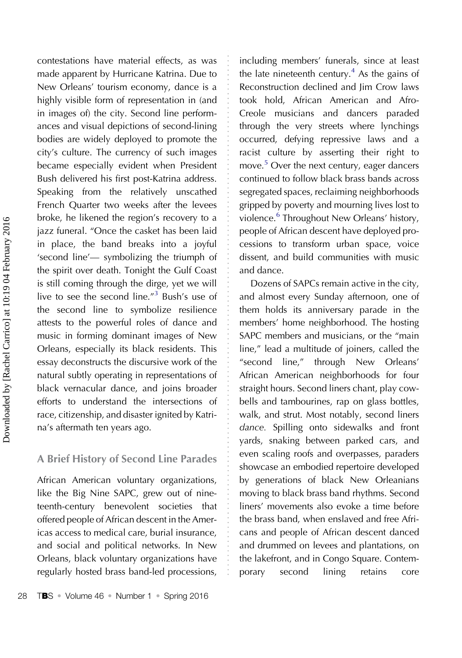contestations have material effects, as was made apparent by Hurricane Katrina. Due to New Orleans' tourism economy, dance is a highly visible form of representation in (and in images of) the city. Second line performances and visual depictions of second-lining bodies are widely deployed to promote the city's culture. The currency of such images became especially evident when President Bush delivered his first post-Katrina address. Speaking from the relatively unscathed French Quarter two weeks after the levees broke, he likened the region's recovery to a jazz funeral. "Once the casket has been laid in place, the band breaks into a joyful 'second line'— symbolizing the triumph of the spirit over death. Tonight the Gulf Coast is still coming through the dirge, yet we will live to see the second line."<sup>[3](#page-9-0)</sup> Bush's use of the second line to symbolize resilience attests to the powerful roles of dance and music in forming dominant images of New Orleans, especially its black residents. This essay deconstructs the discursive work of the natural subtly operating in representations of black vernacular dance, and joins broader efforts to understand the intersections of race, citizenship, and disaster ignited by Katrina's aftermath ten years ago.

#### A Brief History of Second Line Parades

African American voluntary organizations, like the Big Nine SAPC, grew out of nineteenth-century benevolent societies that offered people of African descent in the Americas access to medical care, burial insurance, and social and political networks. In New Orleans, black voluntary organizations have regularly hosted brass band-led processions,

28 TBS • Volume 46 • Number 1 • Spring 2016

including members' funerals, since at least the late nineteenth century.<sup>[4](#page-9-0)</sup> As the gains of Reconstruction declined and Jim Crow laws took hold, African American and Afro-Creole musicians and dancers paraded through the very streets where lynchings occurred, defying repressive laws and a racist culture by asserting their right to move.[5](#page-9-0) Over the next century, eager dancers continued to follow black brass bands across segregated spaces, reclaiming neighborhoods gripped by poverty and mourning lives lost to violence.<sup>[6](#page-9-0)</sup> Throughout New Orleans' history, people of African descent have deployed processions to transform urban space, voice dissent, and build communities with music and dance.

Dozens of SAPCs remain active in the city, and almost every Sunday afternoon, one of them holds its anniversary parade in the members' home neighborhood. The hosting SAPC members and musicians, or the "main line," lead a multitude of joiners, called the "second line," through New Orleans' African American neighborhoods for four straight hours. Second liners chant, play cowbells and tambourines, rap on glass bottles, walk, and strut. Most notably, second liners dance. Spilling onto sidewalks and front yards, snaking between parked cars, and even scaling roofs and overpasses, paraders showcase an embodied repertoire developed by generations of black New Orleanians moving to black brass band rhythms. Second liners' movements also evoke a time before the brass band, when enslaved and free Africans and people of African descent danced and drummed on levees and plantations, on the lakefront, and in Congo Square. Contemporary second lining retains core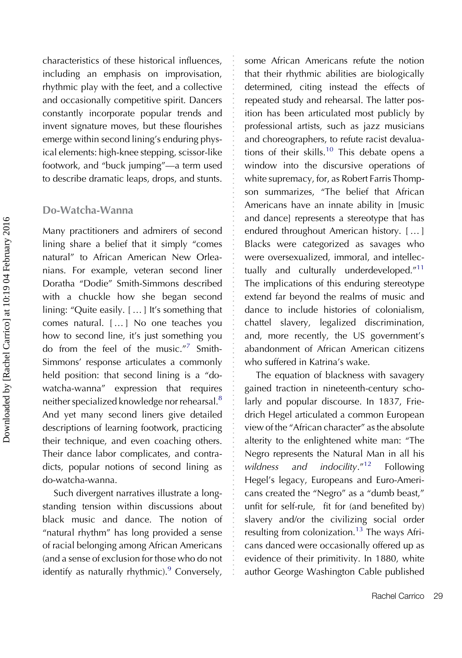characteristics of these historical influences, including an emphasis on improvisation, rhythmic play with the feet, and a collective and occasionally competitive spirit. Dancers constantly incorporate popular trends and invent signature moves, but these flourishes emerge within second lining's enduring physical elements: high-knee stepping, scissor-like footwork, and "buck jumping"—a term used to describe dramatic leaps, drops, and stunts.

### Do-Watcha-Wanna

Many practitioners and admirers of second lining share a belief that it simply "comes natural" to African American New Orleanians. For example, veteran second liner Doratha "Dodie" Smith-Simmons described with a chuckle how she began second lining: "Quite easily. [ … ] It's something that comes natural. [ … ] No one teaches you how to second line, it's just something you do from the feel of the music." [7](#page-9-0) Smith-Simmons' response articulates a commonly held position: that second lining is a "dowatcha-wanna" expression that requires neither specialized knowledge nor rehearsal.<sup>[8](#page-9-0)</sup> And yet many second liners give detailed descriptions of learning footwork, practicing their technique, and even coaching others. Their dance labor complicates, and contradicts, popular notions of second lining as do-watcha-wanna.

Such divergent narratives illustrate a longstanding tension within discussions about black music and dance. The notion of "natural rhythm" has long provided a sense of racial belonging among African Americans (and a sense of exclusion for those who do not identify as naturally rhythmic). $9$  Conversely,

some African Americans refute the notion that their rhythmic abilities are biologically determined, citing instead the effects of repeated study and rehearsal. The latter position has been articulated most publicly by professional artists, such as jazz musicians and choreographers, to refute racist devalua-tions of their skills.<sup>[10](#page-9-0)</sup> This debate opens a window into the discursive operations of white supremacy, for, as Robert Farris Thompson summarizes, "The belief that African Americans have an innate ability in [music and dance] represents a stereotype that has endured throughout American history. [ … ] Blacks were categorized as savages who were oversexualized, immoral, and intellec-tually and culturally underdeveloped."<sup>[11](#page-9-0)</sup> The implications of this enduring stereotype extend far beyond the realms of music and dance to include histories of colonialism, chattel slavery, legalized discrimination, and, more recently, the US government's abandonment of African American citizens who suffered in Katrina's wake.

The equation of blackness with savagery gained traction in nineteenth-century scholarly and popular discourse. In 1837, Friedrich Hegel articulated a common European view of the "African character" as the absolute alterity to the enlightened white man: "The Negro represents the Natural Man in all his wildness and indocility."<sup>12</sup> **Following** Hegel's legacy, Europeans and Euro-Americans created the "Negro" as a "dumb beast," unfit for self-rule, fit for (and benefited by) slavery and/or the civilizing social order resulting from colonization.<sup>[13](#page-9-0)</sup> The ways Africans danced were occasionally offered up as evidence of their primitivity. In 1880, white author George Washington Cable published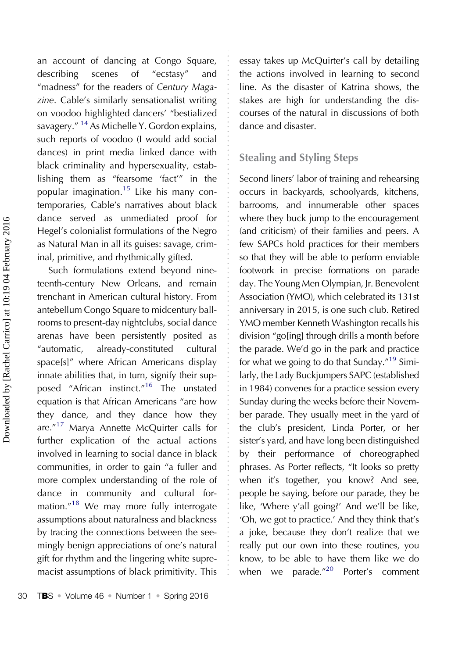an account of dancing at Congo Square, describing scenes of "ecstasy" and "madness" for the readers of Century Magazine. Cable's similarly sensationalist writing on voodoo highlighted dancers' "bestialized savagery."  $14$  As Michelle Y. Gordon explains, such reports of voodoo (I would add social dances) in print media linked dance with black criminality and hypersexuality, establishing them as "fearsome 'fact'" in the popular imagination.<sup>[15](#page-9-0)</sup> Like his many contemporaries, Cable's narratives about black dance served as unmediated proof for Hegel's colonialist formulations of the Negro as Natural Man in all its guises: savage, criminal, primitive, and rhythmically gifted.

Such formulations extend beyond nineteenth-century New Orleans, and remain trenchant in American cultural history. From antebellum Congo Square to midcentury ballrooms to present-day nightclubs, social dance arenas have been persistently posited as "automatic, already-constituted cultural space[s]" where African Americans display innate abilities that, in turn, signify their supposed "African instinct." [16](#page-9-0) The unstated equation is that African Americans "are how they dance, and they dance how they are."<sup>[17](#page-9-0)</sup> Marya Annette McQuirter calls for further explication of the actual actions involved in learning to social dance in black communities, in order to gain "a fuller and more complex understanding of the role of dance in community and cultural for-mation."<sup>[18](#page-9-0)</sup> We may more fully interrogate assumptions about naturalness and blackness by tracing the connections between the seemingly benign appreciations of one's natural gift for rhythm and the lingering white supremacist assumptions of black primitivity. This

essay takes up McQuirter's call by detailing the actions involved in learning to second line. As the disaster of Katrina shows, the stakes are high for understanding the discourses of the natural in discussions of both dance and disaster.

# Stealing and Styling Steps

Second liners' labor of training and rehearsing occurs in backyards, schoolyards, kitchens, barrooms, and innumerable other spaces where they buck jump to the encouragement (and criticism) of their families and peers. A few SAPCs hold practices for their members so that they will be able to perform enviable footwork in precise formations on parade day. The Young Men Olympian, Jr. Benevolent Association (YMO), which celebrated its 131st anniversary in 2015, is one such club. Retired YMO member Kenneth Washington recalls his division "go[ing] through drills a month before the parade. We'd go in the park and practice for what we going to do that Sunday."<sup>[19](#page-9-0)</sup> Similarly, the Lady Buckjumpers SAPC (established in 1984) convenes for a practice session every Sunday during the weeks before their November parade. They usually meet in the yard of the club's president, Linda Porter, or her sister's yard, and have long been distinguished by their performance of choreographed phrases. As Porter reflects, "It looks so pretty when it's together, you know? And see, people be saying, before our parade, they be like, 'Where y'all going?' And we'll be like, 'Oh, we got to practice.' And they think that's a joke, because they don't realize that we really put our own into these routines, you know, to be able to have them like we do when we parade."<sup>[20](#page-9-0)</sup> Porter's comment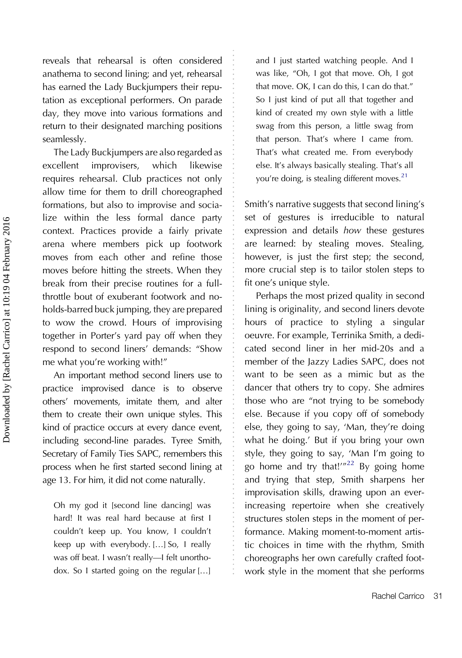reveals that rehearsal is often considered anathema to second lining; and yet, rehearsal has earned the Lady Buckjumpers their reputation as exceptional performers. On parade day, they move into various formations and return to their designated marching positions seamlessly.

The Lady Buckjumpers are also regarded as excellent improvisers, which likewise requires rehearsal. Club practices not only allow time for them to drill choreographed formations, but also to improvise and socialize within the less formal dance party context. Practices provide a fairly private arena where members pick up footwork moves from each other and refine those moves before hitting the streets. When they break from their precise routines for a fullthrottle bout of exuberant footwork and noholds-barred buck jumping, they are prepared to wow the crowd. Hours of improvising together in Porter's yard pay off when they respond to second liners' demands: "Show me what you're working with!"

An important method second liners use to practice improvised dance is to observe others' movements, imitate them, and alter them to create their own unique styles. This kind of practice occurs at every dance event, including second-line parades. Tyree Smith, Secretary of Family Ties SAPC, remembers this process when he first started second lining at age 13. For him, it did not come naturally.

Oh my god it [second line dancing] was hard! It was real hard because at first I couldn't keep up. You know, I couldn't keep up with everybody. […] So, I really was off beat. I wasn't really—I felt unorthodox. So I started going on the regular […] and I just started watching people. And I was like, "Oh, I got that move. Oh, I got that move. OK, I can do this, I can do that." So I just kind of put all that together and kind of created my own style with a little swag from this person, a little swag from that person. That's where I came from. That's what created me. From everybody else. It's always basically stealing. That's all you're doing, is stealing different moves. $21$ 

Smith's narrative suggests that second lining's set of gestures is irreducible to natural expression and details how these gestures are learned: by stealing moves. Stealing, however, is just the first step; the second, more crucial step is to tailor stolen steps to fit one's unique style.

Perhaps the most prized quality in second lining is originality, and second liners devote hours of practice to styling a singular oeuvre. For example, Terrinika Smith, a dedicated second liner in her mid-20s and a member of the Jazzy Ladies SAPC, does not want to be seen as a mimic but as the dancer that others try to copy. She admires those who are "not trying to be somebody else. Because if you copy off of somebody else, they going to say, 'Man, they're doing what he doing.' But if you bring your own style, they going to say, 'Man I'm going to go home and try that! $1^{n^2}$  By going home and trying that step, Smith sharpens her improvisation skills, drawing upon an everincreasing repertoire when she creatively structures stolen steps in the moment of performance. Making moment-to-moment artistic choices in time with the rhythm, Smith choreographs her own carefully crafted footwork style in the moment that she performs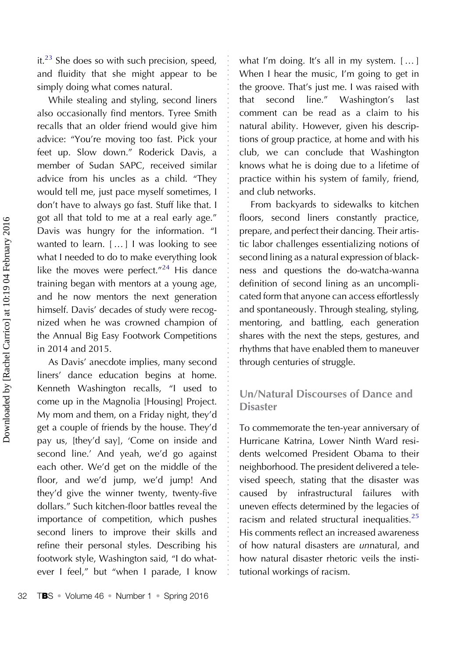it. $^{23}$  $^{23}$  $^{23}$  She does so with such precision, speed, and fluidity that she might appear to be simply doing what comes natural.

While stealing and styling, second liners also occasionally find mentors. Tyree Smith recalls that an older friend would give him advice: "You're moving too fast. Pick your feet up. Slow down." Roderick Davis, a member of Sudan SAPC, received similar advice from his uncles as a child. "They would tell me, just pace myself sometimes, I don't have to always go fast. Stuff like that. I got all that told to me at a real early age." Davis was hungry for the information. "I wanted to learn. [...] I was looking to see what I needed to do to make everything look like the moves were perfect."<sup>[24](#page-10-0)</sup> His dance training began with mentors at a young age, and he now mentors the next generation himself. Davis' decades of study were recognized when he was crowned champion of the Annual Big Easy Footwork Competitions in 2014 and 2015.

As Davis' anecdote implies, many second liners' dance education begins at home. Kenneth Washington recalls, "I used to come up in the Magnolia [Housing] Project. My mom and them, on a Friday night, they'd get a couple of friends by the house. They'd pay us, [they'd say], 'Come on inside and second line.' And yeah, we'd go against each other. We'd get on the middle of the floor, and we'd jump, we'd jump! And they'd give the winner twenty, twenty-five dollars." Such kitchen-floor battles reveal the importance of competition, which pushes second liners to improve their skills and refine their personal styles. Describing his footwork style, Washington said, "I do whatever I feel," but "when I parade, I know what I'm doing. It's all in my system. [ … ] When I hear the music, I'm going to get in the groove. That's just me. I was raised with that second line." Washington's last comment can be read as a claim to his natural ability. However, given his descriptions of group practice, at home and with his club, we can conclude that Washington knows what he is doing due to a lifetime of practice within his system of family, friend, and club networks.

From backyards to sidewalks to kitchen floors, second liners constantly practice, prepare, and perfect their dancing. Their artistic labor challenges essentializing notions of second lining as a natural expression of blackness and questions the do-watcha-wanna definition of second lining as an uncomplicated form that anyone can access effortlessly and spontaneously. Through stealing, styling, mentoring, and battling, each generation shares with the next the steps, gestures, and rhythms that have enabled them to maneuver through centuries of struggle.

# Un/Natural Discourses of Dance and **Disaster**

To commemorate the ten-year anniversary of Hurricane Katrina, Lower Ninth Ward residents welcomed President Obama to their neighborhood. The president delivered a televised speech, stating that the disaster was caused by infrastructural failures with uneven effects determined by the legacies of racism and related structural inequalities.<sup>[25](#page-10-0)</sup> His comments reflect an increased awareness of how natural disasters are unnatural, and how natural disaster rhetoric veils the institutional workings of racism.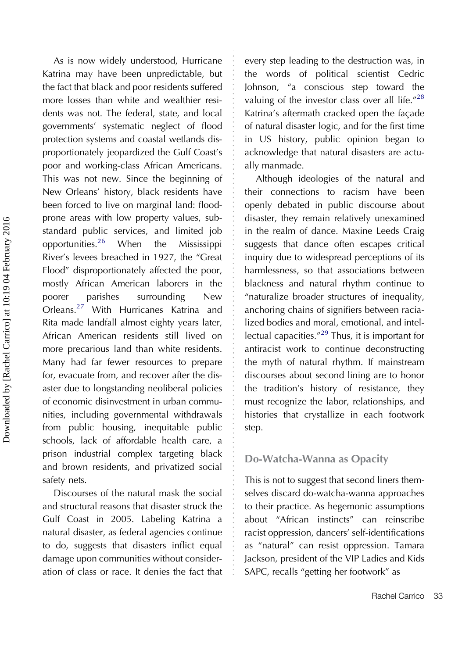As is now widely understood, Hurricane Katrina may have been unpredictable, but the fact that black and poor residents suffered more losses than white and wealthier residents was not. The federal, state, and local governments' systematic neglect of flood protection systems and coastal wetlands disproportionately jeopardized the Gulf Coast's poor and working-class African Americans. This was not new. Since the beginning of New Orleans' history, black residents have been forced to live on marginal land: floodprone areas with low property values, substandard public services, and limited job opportunities. $2^6$  When the Mississippi River's levees breached in 1927, the "Great Flood" disproportionately affected the poor, mostly African American laborers in the poorer parishes surrounding New Orleans.[27](#page-10-0) With Hurricanes Katrina and Rita made landfall almost eighty years later, African American residents still lived on more precarious land than white residents. Many had far fewer resources to prepare for, evacuate from, and recover after the disaster due to longstanding neoliberal policies of economic disinvestment in urban communities, including governmental withdrawals from public housing, inequitable public schools, lack of affordable health care, a prison industrial complex targeting black and brown residents, and privatized social safety nets.

Discourses of the natural mask the social and structural reasons that disaster struck the Gulf Coast in 2005. Labeling Katrina a natural disaster, as federal agencies continue to do, suggests that disasters inflict equal damage upon communities without consideration of class or race. It denies the fact that

every step leading to the destruction was, in the words of political scientist Cedric Johnson, "a conscious step toward the valuing of the investor class over all life. $128$  $128$ Katrina's aftermath cracked open the façade of natural disaster logic, and for the first time in US history, public opinion began to acknowledge that natural disasters are actually manmade.

Although ideologies of the natural and their connections to racism have been openly debated in public discourse about disaster, they remain relatively unexamined in the realm of dance. Maxine Leeds Craig suggests that dance often escapes critical inquiry due to widespread perceptions of its harmlessness, so that associations between blackness and natural rhythm continue to "naturalize broader structures of inequality, anchoring chains of signifiers between racialized bodies and moral, emotional, and intel-lectual capacities."<sup>[29](#page-10-0)</sup> Thus, it is important for antiracist work to continue deconstructing the myth of natural rhythm. If mainstream discourses about second lining are to honor the tradition's history of resistance, they must recognize the labor, relationships, and histories that crystallize in each footwork step.

#### Do-Watcha-Wanna as Opacity

This is not to suggest that second liners themselves discard do-watcha-wanna approaches to their practice. As hegemonic assumptions about "African instincts" can reinscribe racist oppression, dancers' self-identifications as "natural" can resist oppression. Tamara Jackson, president of the VIP Ladies and Kids SAPC, recalls "getting her footwork" as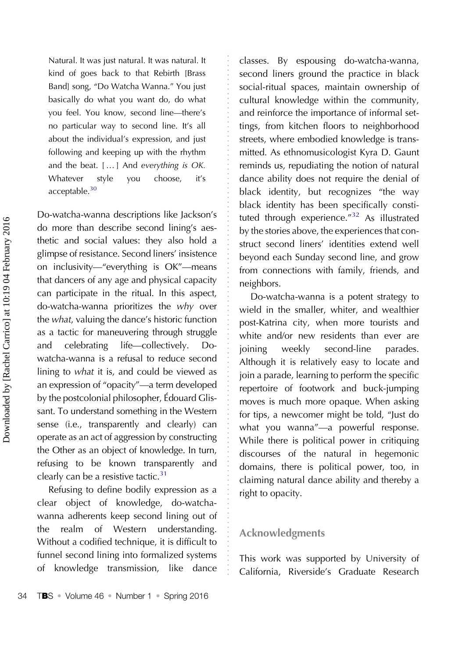kind of goes back to that Rebirth [Brass Band] song, "Do Watcha Wanna." You just basically do what you want do, do what you feel. You know, second line—there's no particular way to second line. It's all about the individual's expression, and just following and keeping up with the rhythm and the beat. [ … ] And everything is OK. Whatever style you choose, it's acceptable.<sup>[30](#page-10-0)</sup>

Natural. It was just natural. It was natural. It

Do-watcha-wanna descriptions like Jackson's do more than describe second lining's aesthetic and social values: they also hold a glimpse of resistance. Second liners' insistence on inclusivity—"everything is OK"—means that dancers of any age and physical capacity can participate in the ritual. In this aspect, do-watcha-wanna prioritizes the why over the what, valuing the dance's historic function as a tactic for maneuvering through struggle and celebrating life—collectively. Dowatcha-wanna is a refusal to reduce second lining to what it is, and could be viewed as an expression of "opacity"—a term developed by the postcolonial philosopher, Édouard Glissant. To understand something in the Western sense (i.e., transparently and clearly) can operate as an act of aggression by constructing the Other as an object of knowledge. In turn, refusing to be known transparently and clearly can be a resistive tactic.<sup>31</sup>

Refusing to define bodily expression as a clear object of knowledge, do-watchawanna adherents keep second lining out of the realm of Western understanding. Without a codified technique, it is difficult to funnel second lining into formalized systems of knowledge transmission, like dance classes. By espousing do-watcha-wanna, second liners ground the practice in black social-ritual spaces, maintain ownership of cultural knowledge within the community, and reinforce the importance of informal settings, from kitchen floors to neighborhood streets, where embodied knowledge is transmitted. As ethnomusicologist Kyra D. Gaunt reminds us, repudiating the notion of natural dance ability does not require the denial of black identity, but recognizes "the way black identity has been specifically consti-tuted through experience."<sup>[32](#page-10-0)</sup> As illustrated by the stories above, the experiences that construct second liners' identities extend well beyond each Sunday second line, and grow from connections with family, friends, and neighbors.

Do-watcha-wanna is a potent strategy to wield in the smaller, whiter, and wealthier post-Katrina city, when more tourists and white and/or new residents than ever are joining weekly second-line parades. Although it is relatively easy to locate and join a parade, learning to perform the specific repertoire of footwork and buck-jumping moves is much more opaque. When asking for tips, a newcomer might be told, "Just do what you wanna"—a powerful response. While there is political power in critiquing discourses of the natural in hegemonic domains, there is political power, too, in claiming natural dance ability and thereby a right to opacity.

## Acknowledgments

This work was supported by University of California, Riverside's Graduate Research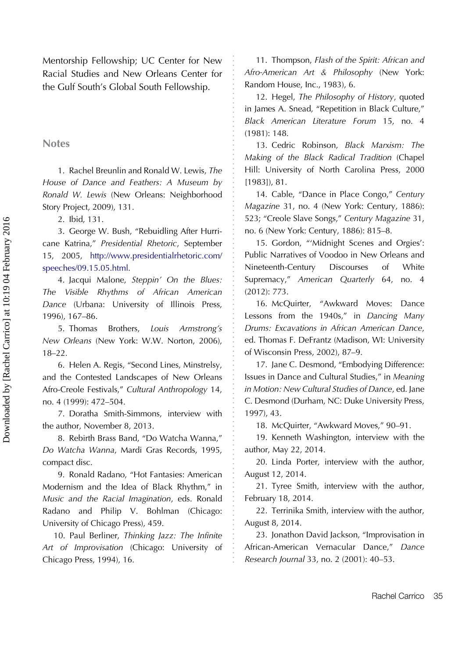<span id="page-9-0"></span>Mentorship Fellowship; UC Center for New Racial Studies and New Orleans Center for the Gulf South's Global South Fellowship.

#### Notes

1. Rachel Breunlin and Ronald W. Lewis, The House of Dance and Feathers: A Museum by Ronald W. Lewis (New Orleans: Neighborhood Story Project, 2009), 131.

2. Ibid, 131.

3. George W. Bush, "Rebuidling After Hurricane Katrina," Presidential Rhetoric, September 15, 2005, [http://www.presidentialrhetoric.com/](http://www.presidentialrhetoric.com/speeches/09.15.05.html) [speeches/09.15.05.html.](http://www.presidentialrhetoric.com/speeches/09.15.05.html)

4. Jacqui Malone, Steppin' On the Blues: The Visible Rhythms of African American Dance (Urbana: University of Illinois Press, 1996), 167–86.

5. Thomas Brothers, Louis Armstrong's New Orleans (New York: W.W. Norton, 2006), 18–22.

6. Helen A. Regis, "Second Lines, Minstrelsy, and the Contested Landscapes of New Orleans Afro-Creole Festivals," Cultural Anthropology 14, no. 4 (1999): 472–504.

7. Doratha Smith-Simmons, interview with the author, November 8, 2013.

8. Rebirth Brass Band, "Do Watcha Wanna," Do Watcha Wanna, Mardi Gras Records, 1995, compact disc.

9. Ronald Radano, "Hot Fantasies: American Modernism and the Idea of Black Rhythm," in Music and the Racial Imagination, eds. Ronald Radano and Philip V. Bohlman (Chicago: University of Chicago Press), 459.

10. Paul Berliner, Thinking Jazz: The Infinite Art of Improvisation (Chicago: University of Chicago Press, 1994), 16.

11. Thompson, Flash of the Spirit: African and Afro-American Art & Philosophy (New York: Random House, Inc., 1983), 6.

12. Hegel, The Philosophy of History, quoted in James A. Snead, "Repetition in Black Culture," Black American Literature Forum 15, no. 4 (1981): 148.

13. Cedric Robinson, Black Marxism: The Making of the Black Radical Tradition (Chapel Hill: University of North Carolina Press, 2000 [1983]), 81.

14. Cable, "Dance in Place Congo," Century Magazine 31, no. 4 (New York: Century, 1886): 523; "Creole Slave Songs," Century Magazine 31, no. 6 (New York: Century, 1886): 815–8.

15. Gordon, "'Midnight Scenes and Orgies': Public Narratives of Voodoo in New Orleans and Nineteenth-Century Discourses of White Supremacy," American Quarterly 64, no. 4 (2012): 773.

16. McQuirter, "Awkward Moves: Dance Lessons from the 1940s," in Dancing Many Drums: Excavations in African American Dance, ed. Thomas F. DeFrantz (Madison, WI: University of Wisconsin Press, 2002), 87–9.

17. Jane C. Desmond, "Embodying Difference: Issues in Dance and Cultural Studies," in Meaning in Motion: New Cultural Studies of Dance, ed. Jane C. Desmond (Durham, NC: Duke University Press, 1997), 43.

18. McQuirter, "Awkward Moves," 90–91.

19. Kenneth Washington, interview with the author, May 22, 2014.

20. Linda Porter, interview with the author, August 12, 2014.

21. Tyree Smith, interview with the author, February 18, 2014.

22. Terrinika Smith, interview with the author, August 8, 2014.

23. Jonathon David Jackson, "Improvisation in African-American Vernacular Dance," Dance Research Journal 33, no. 2 (2001): 40–53.